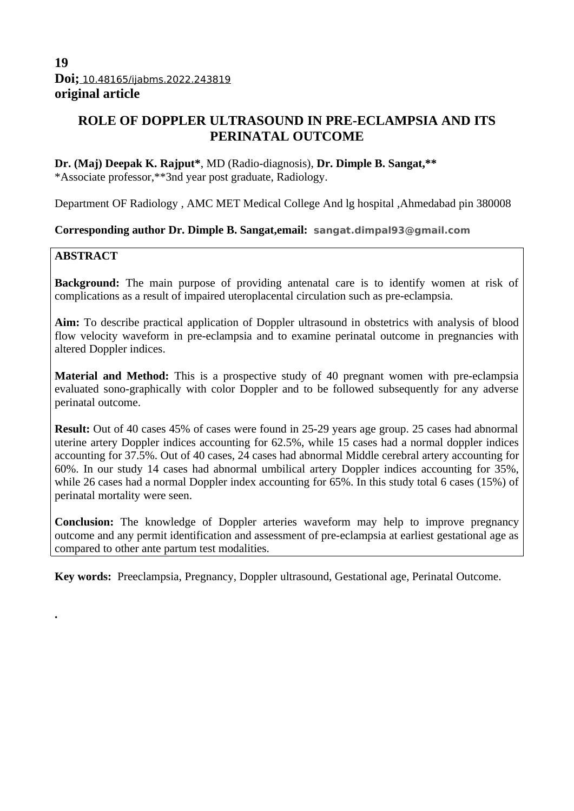# **19 Doi;** 10.48165/ijabms.2022.243819 **original article**

# **ROLE OF DOPPLER ULTRASOUND IN PRE-ECLAMPSIA AND ITS PERINATAL OUTCOME**

**Dr. (Maj) Deepak K. Rajput\***, MD (Radio-diagnosis), **Dr. Dimple B. Sangat,\*\*** \*Associate professor,\*\*3nd year post graduate, Radiology.

Department OF Radiology , AMC MET Medical College And lg hospital ,Ahmedabad pin 380008

# **Corresponding author Dr. Dimple B. Sangat,email: sangat.dimpal93@gmail.com**

# **ABSTRACT**

**.**

**Background:** The main purpose of providing antenatal care is to identify women at risk of complications as a result of impaired uteroplacental circulation such as pre-eclampsia.

**Aim:** To describe practical application of Doppler ultrasound in obstetrics with analysis of blood flow velocity waveform in pre-eclampsia and to examine perinatal outcome in pregnancies with altered Doppler indices.

**Material and Method:** This is a prospective study of 40 pregnant women with pre-eclampsia evaluated sono-graphically with color Doppler and to be followed subsequently for any adverse perinatal outcome.

**Result:** Out of 40 cases 45% of cases were found in 25-29 years age group. 25 cases had abnormal uterine artery Doppler indices accounting for 62.5%, while 15 cases had a normal doppler indices accounting for 37.5%. Out of 40 cases, 24 cases had abnormal Middle cerebral artery accounting for 60%. In our study 14 cases had abnormal umbilical artery Doppler indices accounting for 35%, while 26 cases had a normal Doppler index accounting for 65%. In this study total 6 cases (15%) of perinatal mortality were seen.

**Conclusion:** The knowledge of Doppler arteries waveform may help to improve pregnancy outcome and any permit identification and assessment of pre-eclampsia at earliest gestational age as compared to other ante partum test modalities.

**Key words:** Preeclampsia, Pregnancy, Doppler ultrasound, Gestational age, Perinatal Outcome.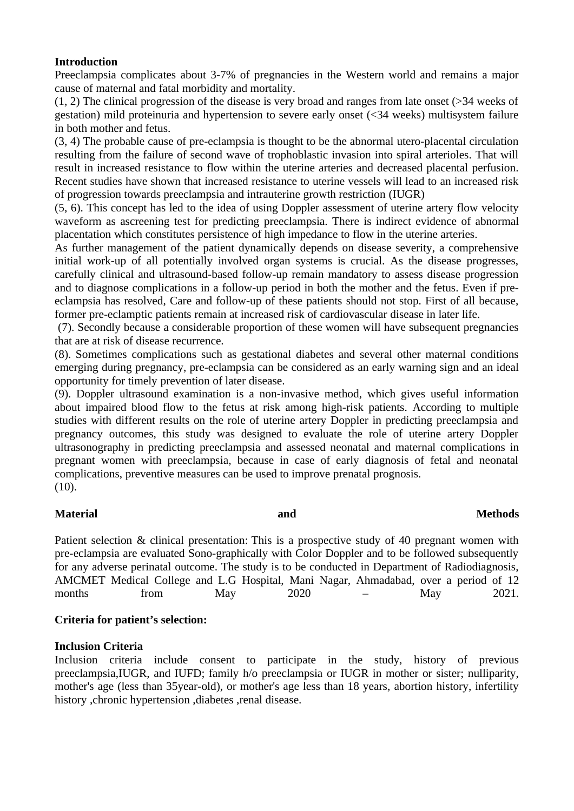### **Introduction**

Preeclampsia complicates about 3-7% of pregnancies in the Western world and remains a major cause of maternal and fatal morbidity and mortality.

(1, 2) The clinical progression of the disease is very broad and ranges from late onset (>34 weeks of gestation) mild proteinuria and hypertension to severe early onset (<34 weeks) multisystem failure in both mother and fetus.

(3, 4) The probable cause of pre-eclampsia is thought to be the abnormal utero-placental circulation resulting from the failure of second wave of trophoblastic invasion into spiral arterioles. That will result in increased resistance to flow within the uterine arteries and decreased placental perfusion. Recent studies have shown that increased resistance to uterine vessels will lead to an increased risk of progression towards preeclampsia and intrauterine growth restriction (IUGR)

(5, 6). This concept has led to the idea of using Doppler assessment of uterine artery flow velocity waveform as ascreening test for predicting preeclampsia. There is indirect evidence of abnormal placentation which constitutes persistence of high impedance to flow in the uterine arteries.

As further management of the patient dynamically depends on disease severity, a comprehensive initial work-up of all potentially involved organ systems is crucial. As the disease progresses, carefully clinical and ultrasound-based follow-up remain mandatory to assess disease progression and to diagnose complications in a follow-up period in both the mother and the fetus. Even if preeclampsia has resolved, Care and follow-up of these patients should not stop. First of all because, former pre-eclamptic patients remain at increased risk of cardiovascular disease in later life.

 (7). Secondly because a considerable proportion of these women will have subsequent pregnancies that are at risk of disease recurrence.

(8). Sometimes complications such as gestational diabetes and several other maternal conditions emerging during pregnancy, pre-eclampsia can be considered as an early warning sign and an ideal opportunity for timely prevention of later disease.

(9). Doppler ultrasound examination is a non-invasive method, which gives useful information about impaired blood flow to the fetus at risk among high-risk patients. According to multiple studies with different results on the role of uterine artery Doppler in predicting preeclampsia and pregnancy outcomes, this study was designed to evaluate the role of uterine artery Doppler ultrasonography in predicting preeclampsia and assessed neonatal and maternal complications in pregnant women with preeclampsia, because in case of early diagnosis of fetal and neonatal complications, preventive measures can be used to improve prenatal prognosis. (10).

# **Material and Methods**

Patient selection & clinical presentation: This is a prospective study of 40 pregnant women with pre-eclampsia are evaluated Sono-graphically with Color Doppler and to be followed subsequently for any adverse perinatal outcome. The study is to be conducted in Department of Radiodiagnosis, AMCMET Medical College and L.G Hospital, Mani Nagar, Ahmadabad, over a period of 12 months from May 2020 – May 2021.

# **Criteria for patient's selection:**

# **Inclusion Criteria**

Inclusion criteria include consent to participate in the study, history of previous preeclampsia,IUGR, and IUFD; family h/o preeclampsia or IUGR in mother or sister; nulliparity, mother's age (less than 35year-old), or mother's age less than 18 years, abortion history, infertility history ,chronic hypertension ,diabetes ,renal disease.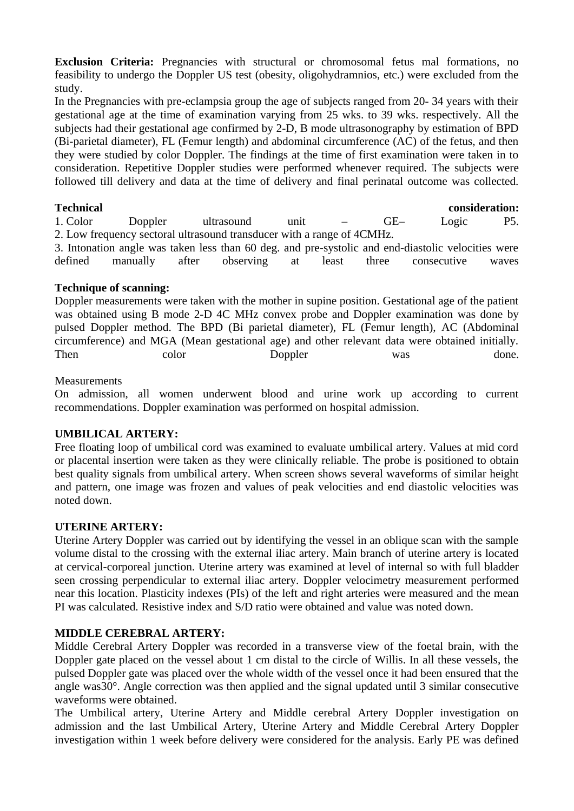**Exclusion Criteria:** Pregnancies with structural or chromosomal fetus mal formations, no feasibility to undergo the Doppler US test (obesity, oligohydramnios, etc.) were excluded from the study.

In the Pregnancies with pre-eclampsia group the age of subjects ranged from 20- 34 years with their gestational age at the time of examination varying from 25 wks. to 39 wks. respectively. All the subjects had their gestational age confirmed by 2-D, B mode ultrasonography by estimation of BPD (Bi-parietal diameter), FL (Femur length) and abdominal circumference (AC) of the fetus, and then they were studied by color Doppler. The findings at the time of first examination were taken in to consideration. Repetitive Doppler studies were performed whenever required. The subjects were followed till delivery and data at the time of delivery and final perinatal outcome was collected.

**Technical consideration:**

1. Color Doppler ultrasound unit – GE– Logic P5. 2. Low frequency sectoral ultrasound transducer with a range of 4CMHz.

3. Intonation angle was taken less than 60 deg. and pre-systolic and end-diastolic velocities were defined manually after observing at least three consecutive waves

# **Technique of scanning:**

Doppler measurements were taken with the mother in supine position. Gestational age of the patient was obtained using B mode 2-D 4C MHz convex probe and Doppler examination was done by pulsed Doppler method. The BPD (Bi parietal diameter), FL (Femur length), AC (Abdominal circumference) and MGA (Mean gestational age) and other relevant data were obtained initially. Then color Doppler was done.

# **Measurements**

On admission, all women underwent blood and urine work up according to current recommendations. Doppler examination was performed on hospital admission.

# **UMBILICAL ARTERY:**

Free floating loop of umbilical cord was examined to evaluate umbilical artery. Values at mid cord or placental insertion were taken as they were clinically reliable. The probe is positioned to obtain best quality signals from umbilical artery. When screen shows several waveforms of similar height and pattern, one image was frozen and values of peak velocities and end diastolic velocities was noted down.

# **UTERINE ARTERY:**

Uterine Artery Doppler was carried out by identifying the vessel in an oblique scan with the sample volume distal to the crossing with the external iliac artery. Main branch of uterine artery is located at cervical-corporeal junction. Uterine artery was examined at level of internal so with full bladder seen crossing perpendicular to external iliac artery. Doppler velocimetry measurement performed near this location. Plasticity indexes (PIs) of the left and right arteries were measured and the mean PI was calculated. Resistive index and S/D ratio were obtained and value was noted down.

# **MIDDLE CEREBRAL ARTERY:**

Middle Cerebral Artery Doppler was recorded in a transverse view of the foetal brain, with the Doppler gate placed on the vessel about 1 cm distal to the circle of Willis. In all these vessels, the pulsed Doppler gate was placed over the whole width of the vessel once it had been ensured that the angle was30°. Angle correction was then applied and the signal updated until 3 similar consecutive waveforms were obtained.

The Umbilical artery, Uterine Artery and Middle cerebral Artery Doppler investigation on admission and the last Umbilical Artery, Uterine Artery and Middle Cerebral Artery Doppler investigation within 1 week before delivery were considered for the analysis. Early PE was defined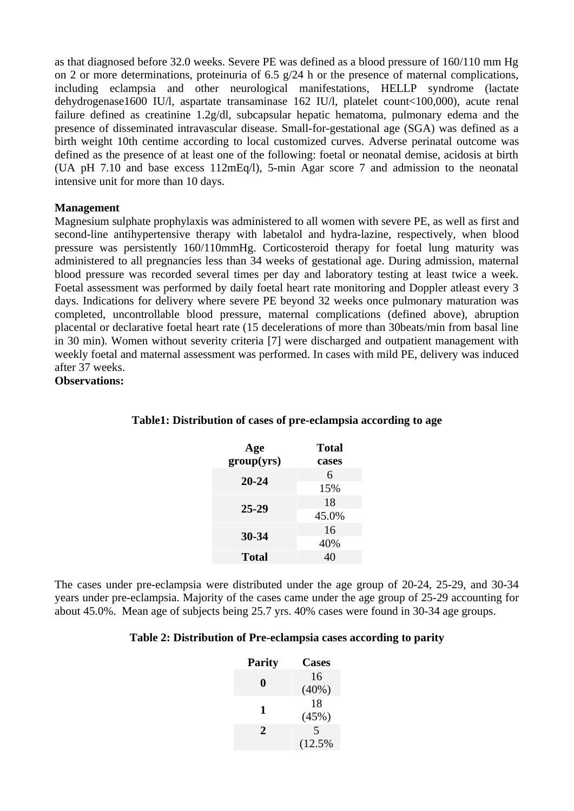as that diagnosed before 32.0 weeks. Severe PE was defined as a blood pressure of 160/110 mm Hg on 2 or more determinations, proteinuria of 6.5 g/24 h or the presence of maternal complications, including eclampsia and other neurological manifestations, HELLP syndrome (lactate dehydrogenase1600 IU/l, aspartate transaminase 162 IU/l, platelet count<100,000), acute renal failure defined as creatinine 1.2g/dl, subcapsular hepatic hematoma, pulmonary edema and the presence of disseminated intravascular disease. Small-for-gestational age (SGA) was defined as a birth weight 10th centime according to local customized curves. Adverse perinatal outcome was defined as the presence of at least one of the following: foetal or neonatal demise, acidosis at birth (UA pH 7.10 and base excess 112mEq/l), 5-min Agar score 7 and admission to the neonatal intensive unit for more than 10 days.

### **Management**

Magnesium sulphate prophylaxis was administered to all women with severe PE, as well as first and second-line antihypertensive therapy with labetalol and hydra-lazine, respectively, when blood pressure was persistently 160/110mmHg. Corticosteroid therapy for foetal lung maturity was administered to all pregnancies less than 34 weeks of gestational age. During admission, maternal blood pressure was recorded several times per day and laboratory testing at least twice a week. Foetal assessment was performed by daily foetal heart rate monitoring and Doppler atleast every 3 days. Indications for delivery where severe PE beyond 32 weeks once pulmonary maturation was completed, uncontrollable blood pressure, maternal complications (defined above), abruption placental or declarative foetal heart rate (15 decelerations of more than 30beats/min from basal line in 30 min). Women without severity criteria [7] were discharged and outpatient management with weekly foetal and maternal assessment was performed. In cases with mild PE, delivery was induced after 37 weeks.

**Observations:**

| Age        | Total |
|------------|-------|
| group(yrs) | cases |
| 20-24      | 6     |
|            | 15%   |
| 25-29      | 18    |
|            | 45.0% |
| 30-34      | 16    |
|            | 40%   |
| Total      |       |

#### **Table1: Distribution of cases of pre-eclampsia according to age**

The cases under pre-eclampsia were distributed under the age group of 20-24, 25-29, and 30-34 years under pre-eclampsia. Majority of the cases came under the age group of 25-29 accounting for about 45.0%. Mean age of subjects being 25.7 yrs. 40% cases were found in 30-34 age groups.

#### **Table 2: Distribution of Pre-eclampsia cases according to parity**

| <b>Parity</b> | <b>Cases</b> |
|---------------|--------------|
| 0             | 16           |
|               | (40%)        |
| 1             | 18           |
|               | (45%)        |
| 2             | 5            |
|               | (12.5%       |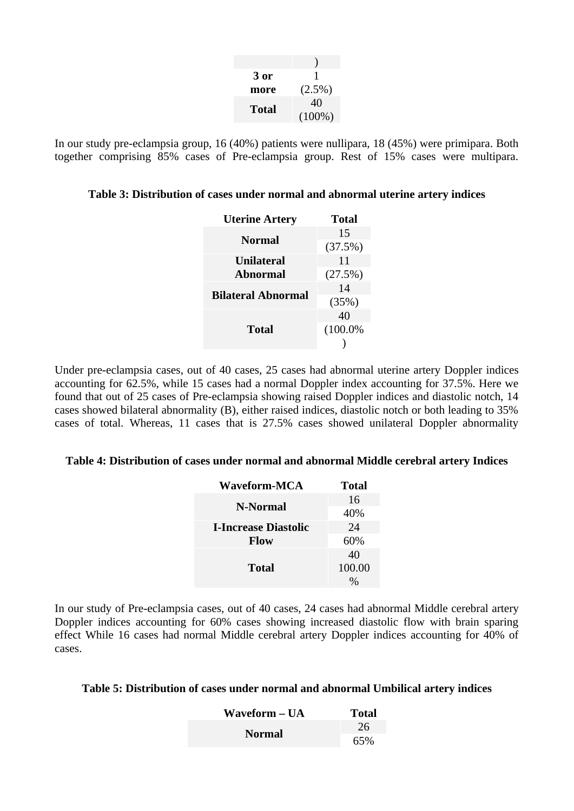| 3 or  | 1         |
|-------|-----------|
| more  | (2.5%)    |
| Total | 40        |
|       | $(100\%)$ |

In our study pre-eclampsia group, 16 (40%) patients were nullipara, 18 (45%) were primipara. Both together comprising 85% cases of Pre-eclampsia group. Rest of 15% cases were multipara.

#### **Table 3: Distribution of cases under normal and abnormal uterine artery indices**

| Total      |
|------------|
| 15         |
| (37.5%)    |
| 11         |
| (27.5%)    |
| 14         |
| (35%)      |
| 40         |
| $(100.0\%$ |
|            |
|            |

Under pre-eclampsia cases, out of 40 cases, 25 cases had abnormal uterine artery Doppler indices accounting for 62.5%, while 15 cases had a normal Doppler index accounting for 37.5%. Here we found that out of 25 cases of Pre-eclampsia showing raised Doppler indices and diastolic notch, 14 cases showed bilateral abnormality (B), either raised indices, diastolic notch or both leading to 35% cases of total. Whereas, 11 cases that is 27.5% cases showed unilateral Doppler abnormality

#### **Table 4: Distribution of cases under normal and abnormal Middle cerebral artery Indices**

| Waveform-MCA                | Total  |  |
|-----------------------------|--------|--|
| N-Normal                    | 16     |  |
|                             | 40%    |  |
| <b>I-Increase Diastolic</b> | 24     |  |
| Flow                        | 60%    |  |
|                             | 40     |  |
| <b>Total</b>                | 100.00 |  |
|                             |        |  |

In our study of Pre-eclampsia cases, out of 40 cases, 24 cases had abnormal Middle cerebral artery Doppler indices accounting for 60% cases showing increased diastolic flow with brain sparing effect While 16 cases had normal Middle cerebral artery Doppler indices accounting for 40% of cases.

#### **Table 5: Distribution of cases under normal and abnormal Umbilical artery indices**

| Waveform – UA | Total |
|---------------|-------|
|               | -26   |
| Normal        | 65%   |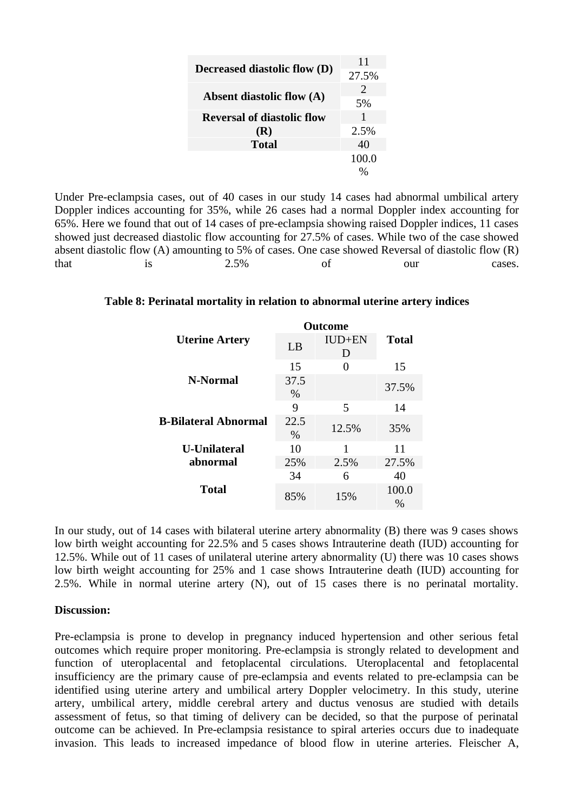|                                     | 11            |
|-------------------------------------|---------------|
| <b>Decreased diastolic flow (D)</b> | 27.5%         |
|                                     | $\mathcal{L}$ |
| <b>Absent diastolic flow (A)</b>    | 5%            |
| <b>Reversal of diastolic flow</b>   | 1             |
| (R)                                 | 2.5%          |
| <b>Total</b>                        | 40            |
|                                     | 100.0         |
|                                     |               |

Under Pre-eclampsia cases, out of 40 cases in our study 14 cases had abnormal umbilical artery Doppler indices accounting for 35%, while 26 cases had a normal Doppler index accounting for 65%. Here we found that out of 14 cases of pre-eclampsia showing raised Doppler indices, 11 cases showed just decreased diastolic flow accounting for 27.5% of cases. While two of the case showed absent diastolic flow (A) amounting to 5% of cases. One case showed Reversal of diastolic flow (R) that is 2.5% of our cases.

### **Table 8: Perinatal mortality in relation to abnormal uterine artery indices**

|                             | <b>Outcome</b> |                  |               |  |
|-----------------------------|----------------|------------------|---------------|--|
| <b>Uterine Artery</b>       | LB             | IUD+EN<br>$\Box$ | Total         |  |
| N-Normal                    | 15             | O                | 15            |  |
|                             | 37.5<br>$\%$   |                  | 37.5%         |  |
|                             | 9              | 5                | 14            |  |
| <b>B-Bilateral Abnormal</b> | 22.5<br>$\%$   | 12.5%            | 35%           |  |
| <b>U-Unilateral</b>         | 10             | 1                | 11            |  |
| abnormal                    | 25%            | 2.5%             | 27.5%         |  |
| Total                       | 34             | 6                | 40            |  |
|                             | 85%            | 15%              | 100.0<br>$\%$ |  |

In our study, out of 14 cases with bilateral uterine artery abnormality (B) there was 9 cases shows low birth weight accounting for 22.5% and 5 cases shows Intrauterine death (IUD) accounting for 12.5%. While out of 11 cases of unilateral uterine artery abnormality (U) there was 10 cases shows low birth weight accounting for 25% and 1 case shows Intrauterine death (IUD) accounting for 2.5%. While in normal uterine artery (N), out of 15 cases there is no perinatal mortality.

#### **Discussion:**

Pre-eclampsia is prone to develop in pregnancy induced hypertension and other serious fetal outcomes which require proper monitoring. Pre-eclampsia is strongly related to development and function of uteroplacental and fetoplacental circulations. Uteroplacental and fetoplacental insufficiency are the primary cause of pre-eclampsia and events related to pre-eclampsia can be identified using uterine artery and umbilical artery Doppler velocimetry. In this study, uterine artery, umbilical artery, middle cerebral artery and ductus venosus are studied with details assessment of fetus, so that timing of delivery can be decided, so that the purpose of perinatal outcome can be achieved. In Pre-eclampsia resistance to spiral arteries occurs due to inadequate invasion. This leads to increased impedance of blood flow in uterine arteries. Fleischer A,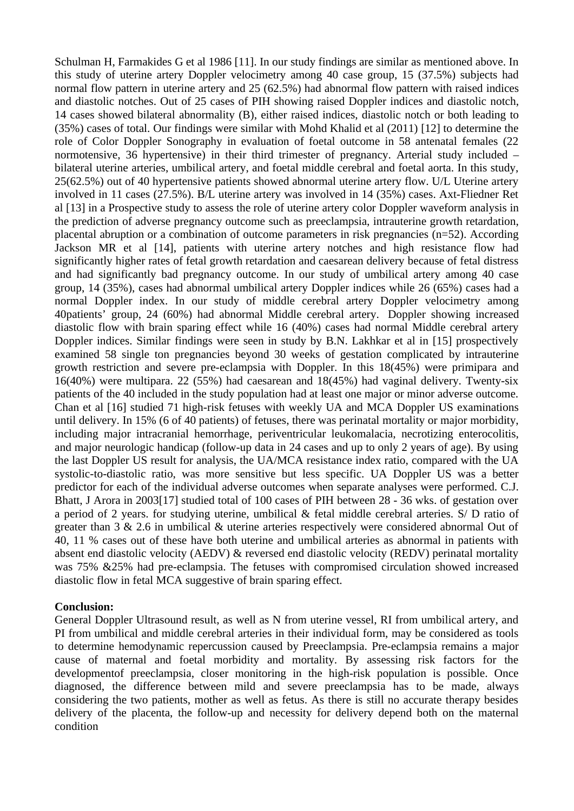Schulman H, Farmakides G et al 1986 [11]. In our study findings are similar as mentioned above. In this study of uterine artery Doppler velocimetry among 40 case group, 15 (37.5%) subjects had normal flow pattern in uterine artery and 25 (62.5%) had abnormal flow pattern with raised indices and diastolic notches. Out of 25 cases of PIH showing raised Doppler indices and diastolic notch, 14 cases showed bilateral abnormality (B), either raised indices, diastolic notch or both leading to (35%) cases of total. Our findings were similar with Mohd Khalid et al (2011) [12] to determine the role of Color Doppler Sonography in evaluation of foetal outcome in 58 antenatal females (22 normotensive, 36 hypertensive) in their third trimester of pregnancy. Arterial study included – bilateral uterine arteries, umbilical artery, and foetal middle cerebral and foetal aorta. In this study, 25(62.5%) out of 40 hypertensive patients showed abnormal uterine artery flow. U/L Uterine artery involved in 11 cases (27.5%). B/L uterine artery was involved in 14 (35%) cases. Axt-Fliedner Ret al [13] in a Prospective study to assess the role of uterine artery color Doppler waveform analysis in the prediction of adverse pregnancy outcome such as preeclampsia, intrauterine growth retardation, placental abruption or a combination of outcome parameters in risk pregnancies (n=52). According Jackson MR et al [14], patients with uterine artery notches and high resistance flow had significantly higher rates of fetal growth retardation and caesarean delivery because of fetal distress and had significantly bad pregnancy outcome. In our study of umbilical artery among 40 case group, 14 (35%), cases had abnormal umbilical artery Doppler indices while 26 (65%) cases had a normal Doppler index. In our study of middle cerebral artery Doppler velocimetry among 40patients' group, 24 (60%) had abnormal Middle cerebral artery. Doppler showing increased diastolic flow with brain sparing effect while 16 (40%) cases had normal Middle cerebral artery Doppler indices. Similar findings were seen in study by B.N. Lakhkar et al in [15] prospectively examined 58 single ton pregnancies beyond 30 weeks of gestation complicated by intrauterine growth restriction and severe pre-eclampsia with Doppler. In this 18(45%) were primipara and 16(40%) were multipara. 22 (55%) had caesarean and 18(45%) had vaginal delivery. Twenty-six patients of the 40 included in the study population had at least one major or minor adverse outcome. Chan et al [16] studied 71 high-risk fetuses with weekly UA and MCA Doppler US examinations until delivery. In 15% (6 of 40 patients) of fetuses, there was perinatal mortality or major morbidity, including major intracranial hemorrhage, periventricular leukomalacia, necrotizing enterocolitis, and major neurologic handicap (follow-up data in 24 cases and up to only 2 years of age). By using the last Doppler US result for analysis, the UA/MCA resistance index ratio, compared with the UA systolic-to-diastolic ratio, was more sensitive but less specific. UA Doppler US was a better predictor for each of the individual adverse outcomes when separate analyses were performed. C.J. Bhatt, J Arora in 2003[17] studied total of 100 cases of PIH between 28 - 36 wks. of gestation over a period of 2 years. for studying uterine, umbilical & fetal middle cerebral arteries. S/ D ratio of greater than 3 & 2.6 in umbilical & uterine arteries respectively were considered abnormal Out of 40, 11 % cases out of these have both uterine and umbilical arteries as abnormal in patients with absent end diastolic velocity (AEDV) & reversed end diastolic velocity (REDV) perinatal mortality was 75% &25% had pre-eclampsia. The fetuses with compromised circulation showed increased diastolic flow in fetal MCA suggestive of brain sparing effect.

### **Conclusion:**

General Doppler Ultrasound result, as well as N from uterine vessel, RI from umbilical artery, and PI from umbilical and middle cerebral arteries in their individual form, may be considered as tools to determine hemodynamic repercussion caused by Preeclampsia. Pre-eclampsia remains a major cause of maternal and foetal morbidity and mortality. By assessing risk factors for the developmentof preeclampsia, closer monitoring in the high-risk population is possible. Once diagnosed, the difference between mild and severe preeclampsia has to be made, always considering the two patients, mother as well as fetus. As there is still no accurate therapy besides delivery of the placenta, the follow-up and necessity for delivery depend both on the maternal condition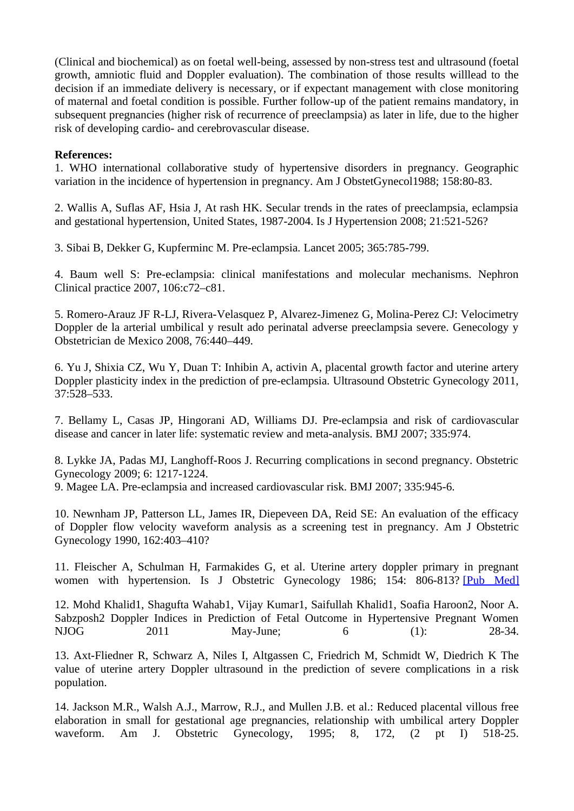(Clinical and biochemical) as on foetal well-being, assessed by non-stress test and ultrasound (foetal growth, amniotic fluid and Doppler evaluation). The combination of those results willlead to the decision if an immediate delivery is necessary, or if expectant management with close monitoring of maternal and foetal condition is possible. Further follow-up of the patient remains mandatory, in subsequent pregnancies (higher risk of recurrence of preeclampsia) as later in life, due to the higher risk of developing cardio- and cerebrovascular disease.

### **References:**

1. WHO international collaborative study of hypertensive disorders in pregnancy. Geographic variation in the incidence of hypertension in pregnancy. Am J ObstetGynecol1988; 158:80-83.

2. Wallis A, Suflas AF, Hsia J, At rash HK. Secular trends in the rates of preeclampsia, eclampsia and gestational hypertension, United States, 1987-2004. Is J Hypertension 2008; 21:521-526?

3. Sibai B, Dekker G, Kupferminc M. Pre-eclampsia. Lancet 2005; 365:785-799.

4. Baum well S: Pre-eclampsia: clinical manifestations and molecular mechanisms. Nephron Clinical practice 2007, 106:c72–c81.

5. Romero-Arauz JF R-LJ, Rivera-Velasquez P, Alvarez-Jimenez G, Molina-Perez CJ: Velocimetry Doppler de la arterial umbilical y result ado perinatal adverse preeclampsia severe. Genecology y Obstetrician de Mexico 2008, 76:440–449.

6. Yu J, Shixia CZ, Wu Y, Duan T: Inhibin A, activin A, placental growth factor and uterine artery Doppler plasticity index in the prediction of pre-eclampsia. Ultrasound Obstetric Gynecology 2011, 37:528–533.

7. Bellamy L, Casas JP, Hingorani AD, Williams DJ. Pre-eclampsia and risk of cardiovascular disease and cancer in later life: systematic review and meta-analysis. BMJ 2007; 335:974.

8. Lykke JA, Padas MJ, Langhoff-Roos J. Recurring complications in second pregnancy. Obstetric Gynecology 2009; 6: 1217-1224.

9. Magee LA. Pre-eclampsia and increased cardiovascular risk. BMJ 2007; 335:945-6.

10. Newnham JP, Patterson LL, James IR, Diepeveen DA, Reid SE: An evaluation of the efficacy of Doppler flow velocity waveform analysis as a screening test in pregnancy. Am J Obstetric Gynecology 1990, 162:403–410?

11. Fleischer A, Schulman H, Farmakides G, et al. Uterine artery doppler primary in pregnant women with hypertension. Is J Obstetric Gynecology 1986; 154: 806-813? [\[Pub Med\]](https://www.ncbi.nlm.nih.gov/pubmed/?term=8.+Fleischer+A%2C+Schulman+H%2C+Farmakides+G%2C+et+al.+Uterine+artery+doppler+primary+in+pregnant+women+with+hypertension.+Am+J+ObstetGynecol+1986%3B+154+%3A+806-813.+%5BPubMed%5D)

12. Mohd Khalid1, Shagufta Wahab1, Vijay Kumar1, Saifullah Khalid1, Soafia Haroon2, Noor A. Sabzposh2 Doppler Indices in Prediction of Fetal Outcome in Hypertensive Pregnant Women NJOG 2011 May-June; 6 (1): 28-34.

13. Axt-Fliedner R, Schwarz A, Niles I, Altgassen C, Friedrich M, Schmidt W, Diedrich K The value of uterine artery Doppler ultrasound in the prediction of severe complications in a risk population.

14. Jackson M.R., Walsh A.J., Marrow, R.J., and Mullen J.B. et al.: Reduced placental villous free elaboration in small for gestational age pregnancies, relationship with umbilical artery Doppler waveform. Am J. Obstetric Gynecology, 1995; 8, 172, (2 pt I) 518-25.